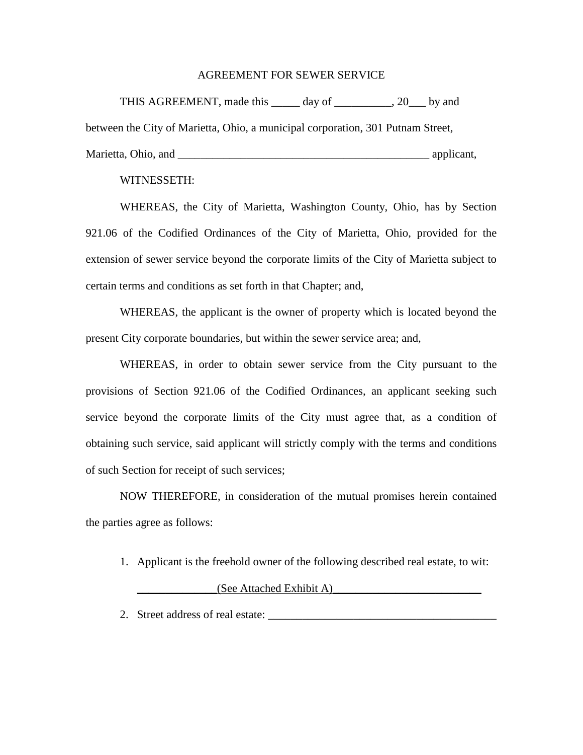## AGREEMENT FOR SEWER SERVICE

THIS AGREEMENT, made this day of the set of the set of the set of the set of the set of the set of the set of the set of the set of the set of the set of the set of the set of the set of the set of the set of the set of th between the City of Marietta, Ohio, a municipal corporation, 301 Putnam Street, Marietta, Ohio, and  $\Box$  applicant,  $\Box$  applicant,  $\Box$ 

## WITNESSETH:

WHEREAS, the City of Marietta, Washington County, Ohio, has by Section 921.06 of the Codified Ordinances of the City of Marietta, Ohio, provided for the extension of sewer service beyond the corporate limits of the City of Marietta subject to certain terms and conditions as set forth in that Chapter; and,

WHEREAS, the applicant is the owner of property which is located beyond the present City corporate boundaries, but within the sewer service area; and,

WHEREAS, in order to obtain sewer service from the City pursuant to the provisions of Section 921.06 of the Codified Ordinances, an applicant seeking such service beyond the corporate limits of the City must agree that, as a condition of obtaining such service, said applicant will strictly comply with the terms and conditions of such Section for receipt of such services;

NOW THEREFORE, in consideration of the mutual promises herein contained the parties agree as follows:

1. Applicant is the freehold owner of the following described real estate, to wit:

## $(See$  Attached Exhibit A)

2. Street address of real estate: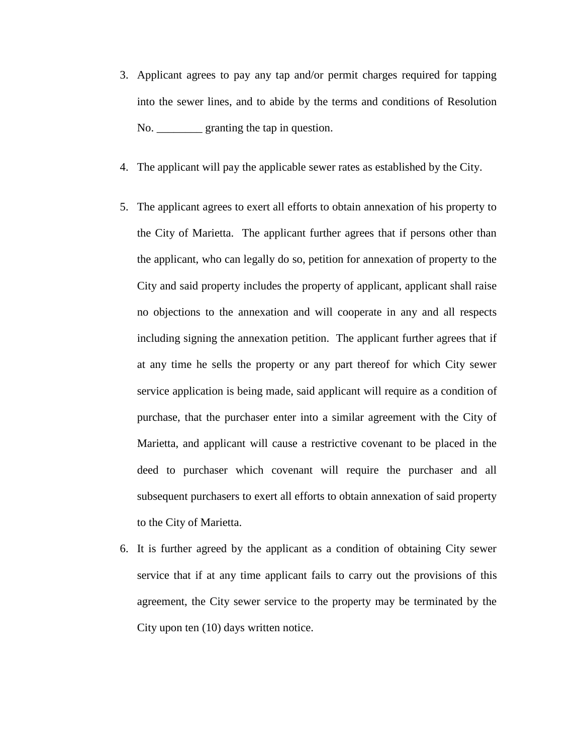- 3. Applicant agrees to pay any tap and/or permit charges required for tapping into the sewer lines, and to abide by the terms and conditions of Resolution No. <u>\_\_\_\_\_\_\_</u> granting the tap in question.
- 4. The applicant will pay the applicable sewer rates as established by the City.
- 5. The applicant agrees to exert all efforts to obtain annexation of his property to the City of Marietta. The applicant further agrees that if persons other than the applicant, who can legally do so, petition for annexation of property to the City and said property includes the property of applicant, applicant shall raise no objections to the annexation and will cooperate in any and all respects including signing the annexation petition. The applicant further agrees that if at any time he sells the property or any part thereof for which City sewer service application is being made, said applicant will require as a condition of purchase, that the purchaser enter into a similar agreement with the City of Marietta, and applicant will cause a restrictive covenant to be placed in the deed to purchaser which covenant will require the purchaser and all subsequent purchasers to exert all efforts to obtain annexation of said property to the City of Marietta.
- 6. It is further agreed by the applicant as a condition of obtaining City sewer service that if at any time applicant fails to carry out the provisions of this agreement, the City sewer service to the property may be terminated by the City upon ten (10) days written notice.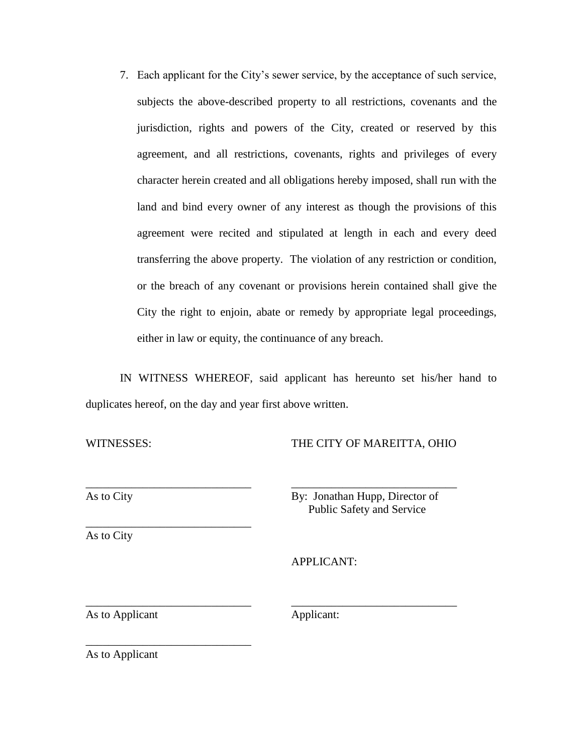7. Each applicant for the City's sewer service, by the acceptance of such service, subjects the above-described property to all restrictions, covenants and the jurisdiction, rights and powers of the City, created or reserved by this agreement, and all restrictions, covenants, rights and privileges of every character herein created and all obligations hereby imposed, shall run with the land and bind every owner of any interest as though the provisions of this agreement were recited and stipulated at length in each and every deed transferring the above property. The violation of any restriction or condition, or the breach of any covenant or provisions herein contained shall give the City the right to enjoin, abate or remedy by appropriate legal proceedings, either in law or equity, the continuance of any breach.

IN WITNESS WHEREOF, said applicant has hereunto set his/her hand to duplicates hereof, on the day and year first above written.

WITNESSES: THE CITY OF MAREITTA, OHIO

\_\_\_\_\_\_\_\_\_\_\_\_\_\_\_\_\_\_\_\_\_\_\_\_\_\_\_\_\_ \_\_\_\_\_\_\_\_\_\_\_\_\_\_\_\_\_\_\_\_\_\_\_\_\_\_\_\_\_ As to City By: Jonathan Hupp, Director of Public Safety and Service

\_\_\_\_\_\_\_\_\_\_\_\_\_\_\_\_\_\_\_\_\_\_\_\_\_\_\_\_\_ As to City

APPLICANT:

As to Applicant Applicant:

\_\_\_\_\_\_\_\_\_\_\_\_\_\_\_\_\_\_\_\_\_\_\_\_\_\_\_\_\_ \_\_\_\_\_\_\_\_\_\_\_\_\_\_\_\_\_\_\_\_\_\_\_\_\_\_\_\_\_

As to Applicant

\_\_\_\_\_\_\_\_\_\_\_\_\_\_\_\_\_\_\_\_\_\_\_\_\_\_\_\_\_